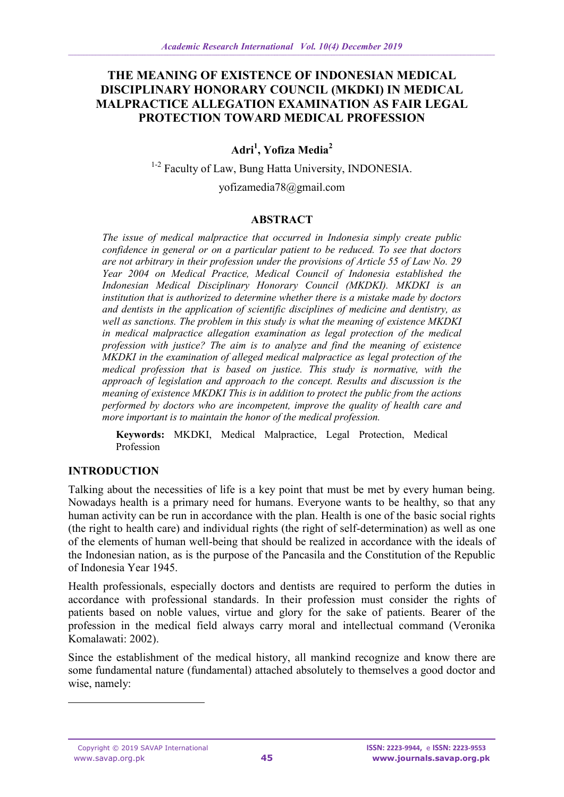# **THE MEANING OF EXISTENCE OF INDONESIAN MEDICAL DISCIPLINARY HONORARY COUNCIL (MKDKI) IN MEDICAL MALPRACTICE ALLEGATION EXAMINATION AS FAIR LEGAL PROTECTION TOWARD MEDICAL PROFESSION**

# **Adri<sup>1</sup> , Yofiza Media<sup>2</sup>**

<sup>1-2</sup> Faculty of Law, Bung Hatta University, INDONESIA.

[yofizamedia78@gmail.com](mailto:yofizamedia78@gmail.com)

#### **ABSTRACT**

*The issue of medical malpractice that occurred in Indonesia simply create public confidence in general or on a particular patient to be reduced. To see that doctors are not arbitrary in their profession under the provisions of Article 55 of Law No. 29 Year 2004 on Medical Practice, Medical Council of Indonesia established the Indonesian Medical Disciplinary Honorary Council (MKDKI). MKDKI is an institution that is authorized to determine whether there is a mistake made by doctors and dentists in the application of scientific disciplines of medicine and dentistry, as well as sanctions. The problem in this study is what the meaning of existence MKDKI in medical malpractice allegation examination as legal protection of the medical profession with justice? The aim is to analyze and find the meaning of existence MKDKI in the examination of alleged medical malpractice as legal protection of the medical profession that is based on justice. This study is normative, with the approach of legislation and approach to the concept. Results and discussion is the meaning of existence MKDKI This is in addition to protect the public from the actions performed by doctors who are incompetent, improve the quality of health care and more important is to maintain the honor of the medical profession.*

**Keywords:** MKDKI, Medical Malpractice, Legal Protection, Medical Profession

#### **INTRODUCTION**

Talking about the necessities of life is a key point that must be met by every human being. Nowadays health is a primary need for humans. Everyone wants to be healthy, so that any human activity can be run in accordance with the plan. Health is one of the basic social rights (the right to health care) and individual rights (the right of self-determination) as well as one of the elements of human well-being that should be realized in accordance with the ideals of the Indonesian nation, as is the purpose of the Pancasila and the Constitution of the Republic of Indonesia Year 1945.

Health professionals, especially doctors and dentists are required to perform the duties in accordance with professional standards. In their profession must consider the rights of patients based on noble values, virtue and glory for the sake of patients. Bearer of the profession in the medical field always carry moral and intellectual command (Veronika Komalawati: 2002).

Since the establishment of the medical history, all mankind recognize and know there are some fundamental nature (fundamental) attached absolutely to themselves a good doctor and wise, namely:

-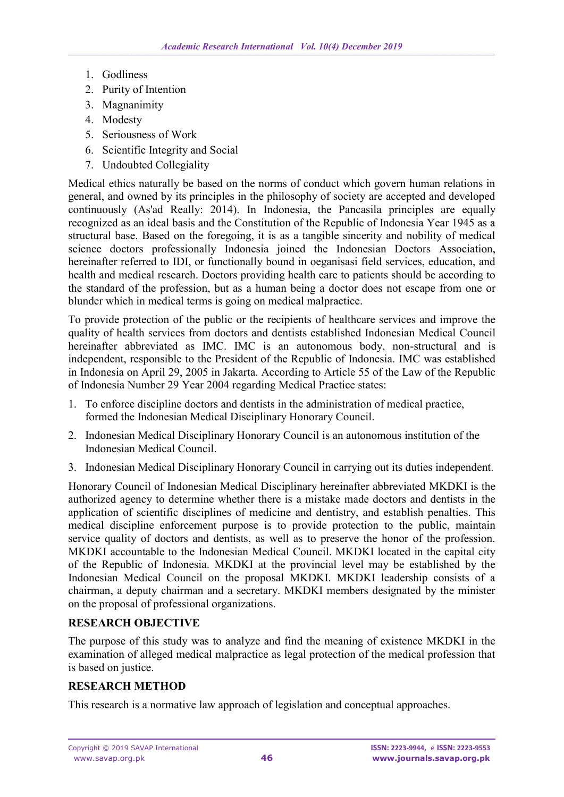- 1. Godliness
- 2. Purity of Intention
- 3. Magnanimity
- 4. Modesty
- 5. Seriousness of Work
- 6. Scientific Integrity and Social
- 7. Undoubted Collegiality

Medical ethics naturally be based on the norms of conduct which govern human relations in general, and owned by its principles in the philosophy of society are accepted and developed continuously (As'ad Really: 2014). In Indonesia, the Pancasila principles are equally recognized as an ideal basis and the Constitution of the Republic of Indonesia Year 1945 as a structural base. Based on the foregoing, it is as a tangible sincerity and nobility of medical science doctors professionally Indonesia joined the Indonesian Doctors Association, hereinafter referred to IDI, or functionally bound in oeganisasi field services, education, and health and medical research. Doctors providing health care to patients should be according to the standard of the profession, but as a human being a doctor does not escape from one or blunder which in medical terms is going on medical malpractice.

To provide protection of the public or the recipients of healthcare services and improve the quality of health services from doctors and dentists established Indonesian Medical Council hereinafter abbreviated as IMC. IMC is an autonomous body, non-structural and is independent, responsible to the President of the Republic of Indonesia. IMC was established in Indonesia on April 29, 2005 in Jakarta. According to Article 55 of the Law of the Republic of Indonesia Number 29 Year 2004 regarding Medical Practice states:

- 1. To enforce discipline doctors and dentists in the administration of medical practice, formed the Indonesian Medical Disciplinary Honorary Council.
- 2. Indonesian Medical Disciplinary Honorary Council is an autonomous institution of the Indonesian Medical Council.
- 3. Indonesian Medical Disciplinary Honorary Council in carrying out its duties independent.

Honorary Council of Indonesian Medical Disciplinary hereinafter abbreviated MKDKI is the authorized agency to determine whether there is a mistake made doctors and dentists in the application of scientific disciplines of medicine and dentistry, and establish penalties. This medical discipline enforcement purpose is to provide protection to the public, maintain service quality of doctors and dentists, as well as to preserve the honor of the profession. MKDKI accountable to the Indonesian Medical Council. MKDKI located in the capital city of the Republic of Indonesia. MKDKI at the provincial level may be established by the Indonesian Medical Council on the proposal MKDKI. MKDKI leadership consists of a chairman, a deputy chairman and a secretary. MKDKI members designated by the minister on the proposal of professional organizations.

# **RESEARCH OBJECTIVE**

The purpose of this study was to analyze and find the meaning of existence MKDKI in the examination of alleged medical malpractice as legal protection of the medical profession that is based on justice.

# **RESEARCH METHOD**

This research is a normative law approach of legislation and conceptual approaches.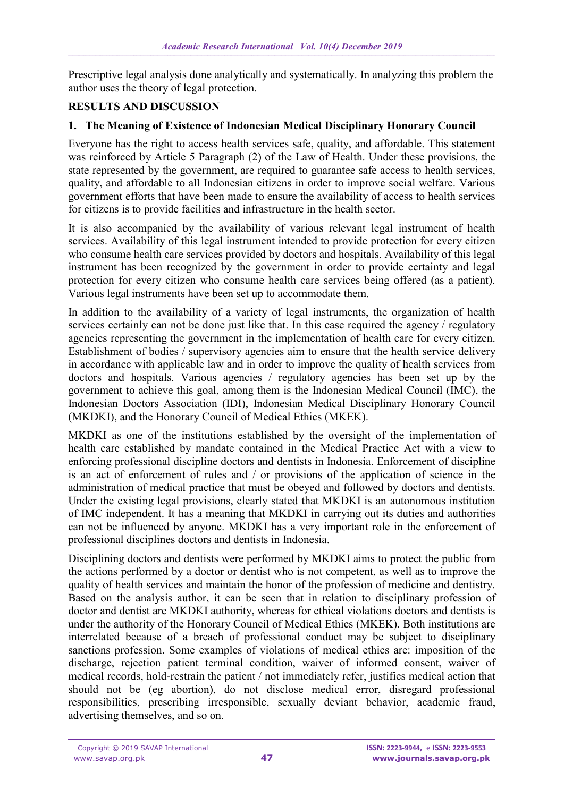Prescriptive legal analysis done analytically and systematically. In analyzing this problem the author uses the theory of legal protection.

### **RESULTS AND DISCUSSION**

### **1. The Meaning of Existence of Indonesian Medical Disciplinary Honorary Council**

Everyone has the right to access health services safe, quality, and affordable. This statement was reinforced by Article 5 Paragraph (2) of the Law of Health. Under these provisions, the state represented by the government, are required to guarantee safe access to health services, quality, and affordable to all Indonesian citizens in order to improve social welfare. Various government efforts that have been made to ensure the availability of access to health services for citizens is to provide facilities and infrastructure in the health sector.

It is also accompanied by the availability of various relevant legal instrument of health services. Availability of this legal instrument intended to provide protection for every citizen who consume health care services provided by doctors and hospitals. Availability of this legal instrument has been recognized by the government in order to provide certainty and legal protection for every citizen who consume health care services being offered (as a patient). Various legal instruments have been set up to accommodate them.

In addition to the availability of a variety of legal instruments, the organization of health services certainly can not be done just like that. In this case required the agency / regulatory agencies representing the government in the implementation of health care for every citizen. Establishment of bodies / supervisory agencies aim to ensure that the health service delivery in accordance with applicable law and in order to improve the quality of health services from doctors and hospitals. Various agencies / regulatory agencies has been set up by the government to achieve this goal, among them is the Indonesian Medical Council (IMC), the Indonesian Doctors Association (IDI), Indonesian Medical Disciplinary Honorary Council (MKDKI), and the Honorary Council of Medical Ethics (MKEK).

MKDKI as one of the institutions established by the oversight of the implementation of health care established by mandate contained in the Medical Practice Act with a view to enforcing professional discipline doctors and dentists in Indonesia. Enforcement of discipline is an act of enforcement of rules and / or provisions of the application of science in the administration of medical practice that must be obeyed and followed by doctors and dentists. Under the existing legal provisions, clearly stated that MKDKI is an autonomous institution of IMC independent. It has a meaning that MKDKI in carrying out its duties and authorities can not be influenced by anyone. MKDKI has a very important role in the enforcement of professional disciplines doctors and dentists in Indonesia.

Disciplining doctors and dentists were performed by MKDKI aims to protect the public from the actions performed by a doctor or dentist who is not competent, as well as to improve the quality of health services and maintain the honor of the profession of medicine and dentistry. Based on the analysis author, it can be seen that in relation to disciplinary profession of doctor and dentist are MKDKI authority, whereas for ethical violations doctors and dentists is under the authority of the Honorary Council of Medical Ethics (MKEK). Both institutions are interrelated because of a breach of professional conduct may be subject to disciplinary sanctions profession. Some examples of violations of medical ethics are: imposition of the discharge, rejection patient terminal condition, waiver of informed consent, waiver of medical records, hold-restrain the patient / not immediately refer, justifies medical action that should not be (eg abortion), do not disclose medical error, disregard professional responsibilities, prescribing irresponsible, sexually deviant behavior, academic fraud, advertising themselves, and so on.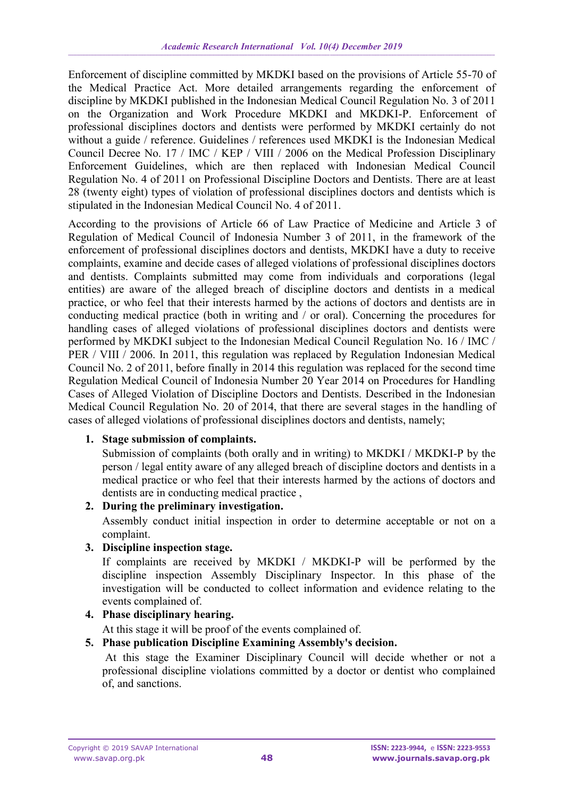Enforcement of discipline committed by MKDKI based on the provisions of Article 55-70 of the Medical Practice Act. More detailed arrangements regarding the enforcement of discipline by MKDKI published in the Indonesian Medical Council Regulation No. 3 of 2011 on the Organization and Work Procedure MKDKI and MKDKI-P. Enforcement of professional disciplines doctors and dentists were performed by MKDKI certainly do not without a guide / reference. Guidelines / references used MKDKI is the Indonesian Medical Council Decree No. 17 / IMC / KEP / VIII / 2006 on the Medical Profession Disciplinary Enforcement Guidelines, which are then replaced with Indonesian Medical Council Regulation No. 4 of 2011 on Professional Discipline Doctors and Dentists. There are at least 28 (twenty eight) types of violation of professional disciplines doctors and dentists which is stipulated in the Indonesian Medical Council No. 4 of 2011.

According to the provisions of Article 66 of Law Practice of Medicine and Article 3 of Regulation of Medical Council of Indonesia Number 3 of 2011, in the framework of the enforcement of professional disciplines doctors and dentists, MKDKI have a duty to receive complaints, examine and decide cases of alleged violations of professional disciplines doctors and dentists. Complaints submitted may come from individuals and corporations (legal entities) are aware of the alleged breach of discipline doctors and dentists in a medical practice, or who feel that their interests harmed by the actions of doctors and dentists are in conducting medical practice (both in writing and / or oral). Concerning the procedures for handling cases of alleged violations of professional disciplines doctors and dentists were performed by MKDKI subject to the Indonesian Medical Council Regulation No. 16 / IMC / PER / VIII / 2006. In 2011, this regulation was replaced by Regulation Indonesian Medical Council No. 2 of 2011, before finally in 2014 this regulation was replaced for the second time Regulation Medical Council of Indonesia Number 20 Year 2014 on Procedures for Handling Cases of Alleged Violation of Discipline Doctors and Dentists. Described in the Indonesian Medical Council Regulation No. 20 of 2014, that there are several stages in the handling of cases of alleged violations of professional disciplines doctors and dentists, namely;

# **1. Stage submission of complaints.**

Submission of complaints (both orally and in writing) to MKDKI / MKDKI-P by the person / legal entity aware of any alleged breach of discipline doctors and dentists in a medical practice or who feel that their interests harmed by the actions of doctors and dentists are in conducting medical practice ,

#### **2. During the preliminary investigation.**

Assembly conduct initial inspection in order to determine acceptable or not on a complaint.

### **3. Discipline inspection stage.**

If complaints are received by MKDKI / MKDKI-P will be performed by the discipline inspection Assembly Disciplinary Inspector. In this phase of the investigation will be conducted to collect information and evidence relating to the events complained of.

#### **4. Phase disciplinary hearing.**

At this stage it will be proof of the events complained of.

# **5. Phase publication Discipline Examining Assembly's decision.**

At this stage the Examiner Disciplinary Council will decide whether or not a professional discipline violations committed by a doctor or dentist who complained of, and sanctions.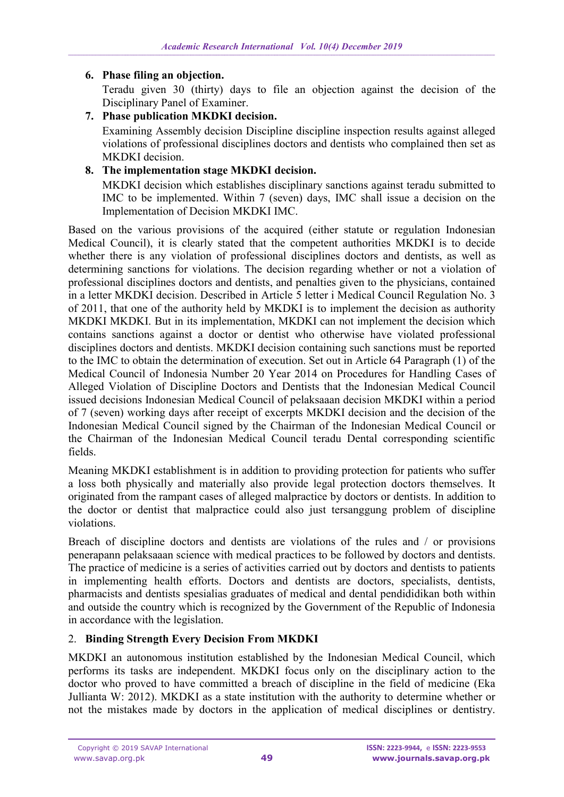### **6. Phase filing an objection.**

Teradu given 30 (thirty) days to file an objection against the decision of the Disciplinary Panel of Examiner.

# **7. Phase publication MKDKI decision.**

Examining Assembly decision Discipline discipline inspection results against alleged violations of professional disciplines doctors and dentists who complained then set as MKDKI decision.

### **8. The implementation stage MKDKI decision.**

MKDKI decision which establishes disciplinary sanctions against teradu submitted to IMC to be implemented. Within 7 (seven) days, IMC shall issue a decision on the Implementation of Decision MKDKI IMC.

Based on the various provisions of the acquired (either statute or regulation Indonesian Medical Council), it is clearly stated that the competent authorities MKDKI is to decide whether there is any violation of professional disciplines doctors and dentists, as well as determining sanctions for violations. The decision regarding whether or not a violation of professional disciplines doctors and dentists, and penalties given to the physicians, contained in a letter MKDKI decision. Described in Article 5 letter i Medical Council Regulation No. 3 of 2011, that one of the authority held by MKDKI is to implement the decision as authority MKDKI MKDKI. But in its implementation, MKDKI can not implement the decision which contains sanctions against a doctor or dentist who otherwise have violated professional disciplines doctors and dentists. MKDKI decision containing such sanctions must be reported to the IMC to obtain the determination of execution. Set out in Article 64 Paragraph (1) of the Medical Council of Indonesia Number 20 Year 2014 on Procedures for Handling Cases of Alleged Violation of Discipline Doctors and Dentists that the Indonesian Medical Council issued decisions Indonesian Medical Council of pelaksaaan decision MKDKI within a period of 7 (seven) working days after receipt of excerpts MKDKI decision and the decision of the Indonesian Medical Council signed by the Chairman of the Indonesian Medical Council or the Chairman of the Indonesian Medical Council teradu Dental corresponding scientific fields.

Meaning MKDKI establishment is in addition to providing protection for patients who suffer a loss both physically and materially also provide legal protection doctors themselves. It originated from the rampant cases of alleged malpractice by doctors or dentists. In addition to the doctor or dentist that malpractice could also just tersanggung problem of discipline violations.

Breach of discipline doctors and dentists are violations of the rules and / or provisions penerapann pelaksaaan science with medical practices to be followed by doctors and dentists. The practice of medicine is a series of activities carried out by doctors and dentists to patients in implementing health efforts. Doctors and dentists are doctors, specialists, dentists, pharmacists and dentists spesialias graduates of medical and dental pendididikan both within and outside the country which is recognized by the Government of the Republic of Indonesia in accordance with the legislation.

# 2. **Binding Strength Every Decision From MKDKI**

MKDKI an autonomous institution established by the Indonesian Medical Council, which performs its tasks are independent. MKDKI focus only on the disciplinary action to the doctor who proved to have committed a breach of discipline in the field of medicine (Eka Jullianta W: 2012). MKDKI as a state institution with the authority to determine whether or not the mistakes made by doctors in the application of medical disciplines or dentistry.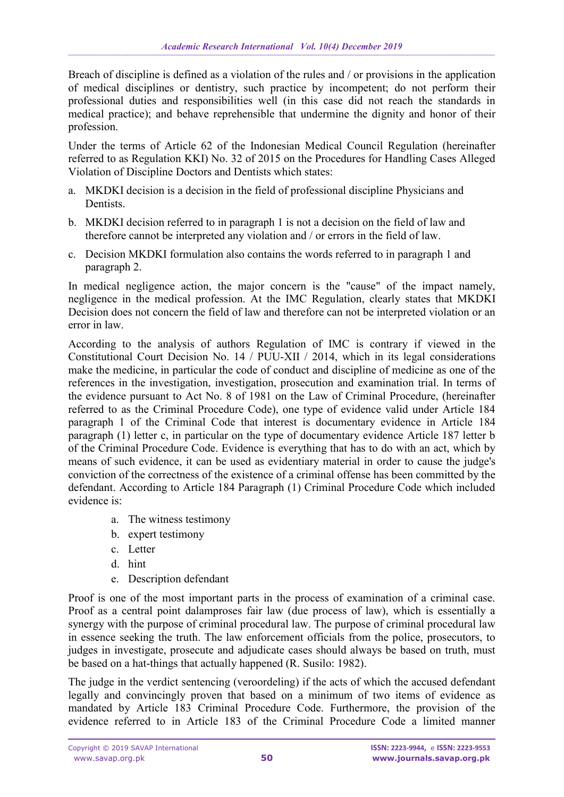Breach of discipline is defined as a violation of the rules and / or provisions in the application of medical disciplines or dentistry, such practice by incompetent; do not perform their professional duties and responsibilities well (in this case did not reach the standards in medical practice); and behave reprehensible that undermine the dignity and honor of their profession.

Under the terms of Article 62 of the Indonesian Medical Council Regulation (hereinafter referred to as Regulation KKI) No. 32 of 2015 on the Procedures for Handling Cases Alleged Violation of Discipline Doctors and Dentists which states:

- a. MKDKI decision is a decision in the field of professional discipline Physicians and Dentists.
- b. MKDKI decision referred to in paragraph 1 is not a decision on the field of law and therefore cannot be interpreted any violation and / or errors in the field of law.
- c. Decision MKDKI formulation also contains the words referred to in paragraph 1 and paragraph 2.

In medical negligence action, the major concern is the "cause" of the impact namely, negligence in the medical profession. At the IMC Regulation, clearly states that MKDKI Decision does not concern the field of law and therefore can not be interpreted violation or an error in law.

According to the analysis of authors Regulation of IMC is contrary if viewed in the Constitutional Court Decision No. 14 / PUU-XII / 2014, which in its legal considerations make the medicine, in particular the code of conduct and discipline of medicine as one of the references in the investigation, investigation, prosecution and examination trial. In terms of the evidence pursuant to Act No. 8 of 1981 on the Law of Criminal Procedure, (hereinafter referred to as the Criminal Procedure Code), one type of evidence valid under Article 184 paragraph 1 of the Criminal Code that interest is documentary evidence in Article 184 paragraph (1) letter c, in particular on the type of documentary evidence Article 187 letter b of the Criminal Procedure Code. Evidence is everything that has to do with an act, which by means of such evidence, it can be used as evidentiary material in order to cause the judge's conviction of the correctness of the existence of a criminal offense has been committed by the defendant. According to Article 184 Paragraph (1) Criminal Procedure Code which included evidence is:

- a. The witness testimony
- b. expert testimony
- c. Letter
- d. hint
- e. Description defendant

Proof is one of the most important parts in the process of examination of a criminal case. Proof as a central point dalamproses fair law (due process of law), which is essentially a synergy with the purpose of criminal procedural law. The purpose of criminal procedural law in essence seeking the truth. The law enforcement officials from the police, prosecutors, to judges in investigate, prosecute and adjudicate cases should always be based on truth, must be based on a hat-things that actually happened (R. Susilo: 1982).

The judge in the verdict sentencing (veroordeling) if the acts of which the accused defendant legally and convincingly proven that based on a minimum of two items of evidence as mandated by Article 183 Criminal Procedure Code. Furthermore, the provision of the evidence referred to in Article 183 of the Criminal Procedure Code a limited manner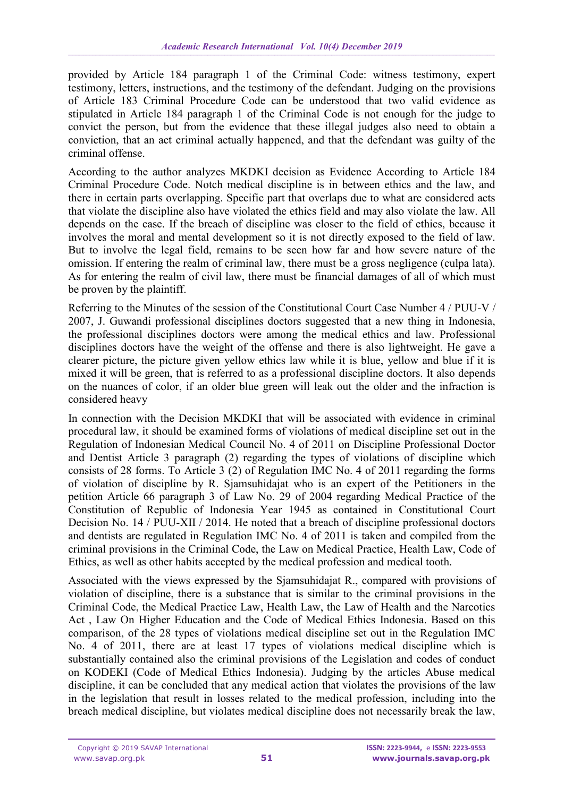provided by Article 184 paragraph 1 of the Criminal Code: witness testimony, expert testimony, letters, instructions, and the testimony of the defendant. Judging on the provisions of Article 183 Criminal Procedure Code can be understood that two valid evidence as stipulated in Article 184 paragraph 1 of the Criminal Code is not enough for the judge to convict the person, but from the evidence that these illegal judges also need to obtain a conviction, that an act criminal actually happened, and that the defendant was guilty of the criminal offense.

According to the author analyzes MKDKI decision as Evidence According to Article 184 Criminal Procedure Code. Notch medical discipline is in between ethics and the law, and there in certain parts overlapping. Specific part that overlaps due to what are considered acts that violate the discipline also have violated the ethics field and may also violate the law. All depends on the case. If the breach of discipline was closer to the field of ethics, because it involves the moral and mental development so it is not directly exposed to the field of law. But to involve the legal field, remains to be seen how far and how severe nature of the omission. If entering the realm of criminal law, there must be a gross negligence (culpa lata). As for entering the realm of civil law, there must be financial damages of all of which must be proven by the plaintiff.

Referring to the Minutes of the session of the Constitutional Court Case Number 4 / PUU-V / 2007, J. Guwandi professional disciplines doctors suggested that a new thing in Indonesia, the professional disciplines doctors were among the medical ethics and law. Professional disciplines doctors have the weight of the offense and there is also lightweight. He gave a clearer picture, the picture given yellow ethics law while it is blue, yellow and blue if it is mixed it will be green, that is referred to as a professional discipline doctors. It also depends on the nuances of color, if an older blue green will leak out the older and the infraction is considered heavy

In connection with the Decision MKDKI that will be associated with evidence in criminal procedural law, it should be examined forms of violations of medical discipline set out in the Regulation of Indonesian Medical Council No. 4 of 2011 on Discipline Professional Doctor and Dentist Article 3 paragraph (2) regarding the types of violations of discipline which consists of 28 forms. To Article 3 (2) of Regulation IMC No. 4 of 2011 regarding the forms of violation of discipline by R. Sjamsuhidajat who is an expert of the Petitioners in the petition Article 66 paragraph 3 of Law No. 29 of 2004 regarding Medical Practice of the Constitution of Republic of Indonesia Year 1945 as contained in Constitutional Court Decision No. 14 / PUU-XII / 2014. He noted that a breach of discipline professional doctors and dentists are regulated in Regulation IMC No. 4 of 2011 is taken and compiled from the criminal provisions in the Criminal Code, the Law on Medical Practice, Health Law, Code of Ethics, as well as other habits accepted by the medical profession and medical tooth.

Associated with the views expressed by the Sjamsuhidajat R., compared with provisions of violation of discipline, there is a substance that is similar to the criminal provisions in the Criminal Code, the Medical Practice Law, Health Law, the Law of Health and the Narcotics Act , Law On Higher Education and the Code of Medical Ethics Indonesia. Based on this comparison, of the 28 types of violations medical discipline set out in the Regulation IMC No. 4 of 2011, there are at least 17 types of violations medical discipline which is substantially contained also the criminal provisions of the Legislation and codes of conduct on KODEKI (Code of Medical Ethics Indonesia). Judging by the articles Abuse medical discipline, it can be concluded that any medical action that violates the provisions of the law in the legislation that result in losses related to the medical profession, including into the breach medical discipline, but violates medical discipline does not necessarily break the law,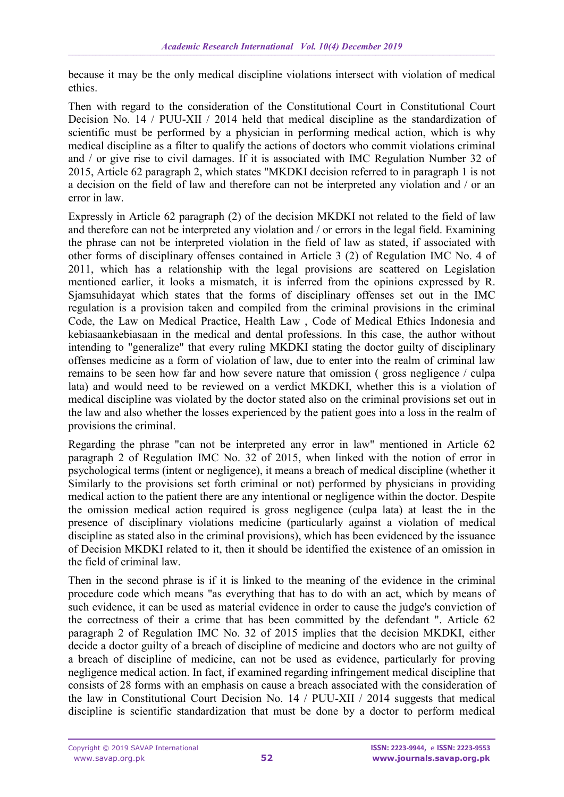because it may be the only medical discipline violations intersect with violation of medical ethics.

Then with regard to the consideration of the Constitutional Court in Constitutional Court Decision No. 14 / PUU-XII / 2014 held that medical discipline as the standardization of scientific must be performed by a physician in performing medical action, which is why medical discipline as a filter to qualify the actions of doctors who commit violations criminal and / or give rise to civil damages. If it is associated with IMC Regulation Number 32 of 2015, Article 62 paragraph 2, which states "MKDKI decision referred to in paragraph 1 is not a decision on the field of law and therefore can not be interpreted any violation and / or an error in law.

Expressly in Article 62 paragraph (2) of the decision MKDKI not related to the field of law and therefore can not be interpreted any violation and / or errors in the legal field. Examining the phrase can not be interpreted violation in the field of law as stated, if associated with other forms of disciplinary offenses contained in Article 3 (2) of Regulation IMC No. 4 of 2011, which has a relationship with the legal provisions are scattered on Legislation mentioned earlier, it looks a mismatch, it is inferred from the opinions expressed by R. Sjamsuhidayat which states that the forms of disciplinary offenses set out in the IMC regulation is a provision taken and compiled from the criminal provisions in the criminal Code, the Law on Medical Practice, Health Law , Code of Medical Ethics Indonesia and kebiasaankebiasaan in the medical and dental professions. In this case, the author without intending to "generalize" that every ruling MKDKI stating the doctor guilty of disciplinary offenses medicine as a form of violation of law, due to enter into the realm of criminal law remains to be seen how far and how severe nature that omission ( gross negligence / culpa lata) and would need to be reviewed on a verdict MKDKI, whether this is a violation of medical discipline was violated by the doctor stated also on the criminal provisions set out in the law and also whether the losses experienced by the patient goes into a loss in the realm of provisions the criminal.

Regarding the phrase "can not be interpreted any error in law" mentioned in Article 62 paragraph 2 of Regulation IMC No. 32 of 2015, when linked with the notion of error in psychological terms (intent or negligence), it means a breach of medical discipline (whether it Similarly to the provisions set forth criminal or not) performed by physicians in providing medical action to the patient there are any intentional or negligence within the doctor. Despite the omission medical action required is gross negligence (culpa lata) at least the in the presence of disciplinary violations medicine (particularly against a violation of medical discipline as stated also in the criminal provisions), which has been evidenced by the issuance of Decision MKDKI related to it, then it should be identified the existence of an omission in the field of criminal law.

Then in the second phrase is if it is linked to the meaning of the evidence in the criminal procedure code which means "as everything that has to do with an act, which by means of such evidence, it can be used as material evidence in order to cause the judge's conviction of the correctness of their a crime that has been committed by the defendant ". Article 62 paragraph 2 of Regulation IMC No. 32 of 2015 implies that the decision MKDKI, either decide a doctor guilty of a breach of discipline of medicine and doctors who are not guilty of a breach of discipline of medicine, can not be used as evidence, particularly for proving negligence medical action. In fact, if examined regarding infringement medical discipline that consists of 28 forms with an emphasis on cause a breach associated with the consideration of the law in Constitutional Court Decision No. 14 / PUU-XII / 2014 suggests that medical discipline is scientific standardization that must be done by a doctor to perform medical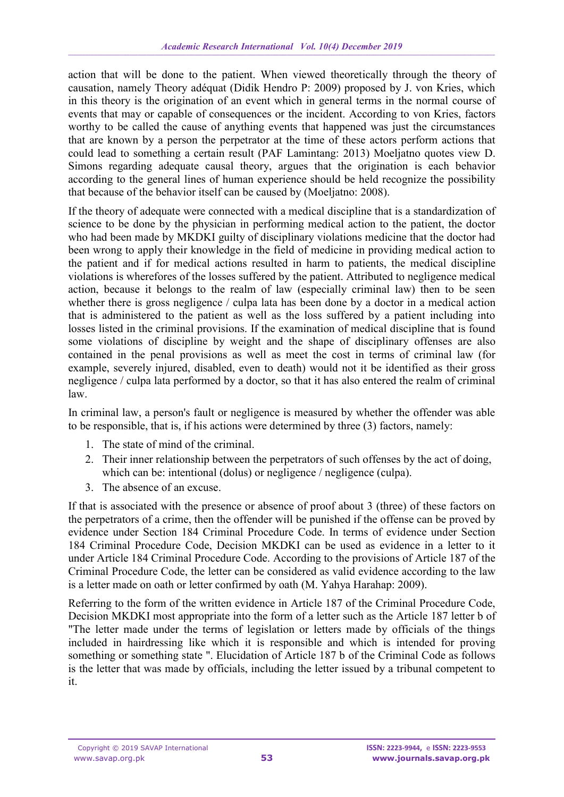action that will be done to the patient. When viewed theoretically through the theory of causation, namely Theory adéquat (Didik Hendro P: 2009) proposed by J. von Kries, which in this theory is the origination of an event which in general terms in the normal course of events that may or capable of consequences or the incident. According to von Kries, factors worthy to be called the cause of anything events that happened was just the circumstances that are known by a person the perpetrator at the time of these actors perform actions that could lead to something a certain result (PAF Lamintang: 2013) Moeljatno quotes view D. Simons regarding adequate causal theory, argues that the origination is each behavior according to the general lines of human experience should be held recognize the possibility that because of the behavior itself can be caused by (Moeljatno: 2008).

If the theory of adequate were connected with a medical discipline that is a standardization of science to be done by the physician in performing medical action to the patient, the doctor who had been made by MKDKI guilty of disciplinary violations medicine that the doctor had been wrong to apply their knowledge in the field of medicine in providing medical action to the patient and if for medical actions resulted in harm to patients, the medical discipline violations is wherefores of the losses suffered by the patient. Attributed to negligence medical action, because it belongs to the realm of law (especially criminal law) then to be seen whether there is gross negligence / culpa lata has been done by a doctor in a medical action that is administered to the patient as well as the loss suffered by a patient including into losses listed in the criminal provisions. If the examination of medical discipline that is found some violations of discipline by weight and the shape of disciplinary offenses are also contained in the penal provisions as well as meet the cost in terms of criminal law (for example, severely injured, disabled, even to death) would not it be identified as their gross negligence / culpa lata performed by a doctor, so that it has also entered the realm of criminal law.

In criminal law, a person's fault or negligence is measured by whether the offender was able to be responsible, that is, if his actions were determined by three (3) factors, namely:

- 1. The state of mind of the criminal.
- 2. Their inner relationship between the perpetrators of such offenses by the act of doing, which can be: intentional (dolus) or negligence / negligence (culpa).
- 3. The absence of an excuse.

If that is associated with the presence or absence of proof about 3 (three) of these factors on the perpetrators of a crime, then the offender will be punished if the offense can be proved by evidence under Section 184 Criminal Procedure Code. In terms of evidence under Section 184 Criminal Procedure Code, Decision MKDKI can be used as evidence in a letter to it under Article 184 Criminal Procedure Code. According to the provisions of Article 187 of the Criminal Procedure Code, the letter can be considered as valid evidence according to the law is a letter made on oath or letter confirmed by oath (M. Yahya Harahap: 2009).

Referring to the form of the written evidence in Article 187 of the Criminal Procedure Code, Decision MKDKI most appropriate into the form of a letter such as the Article 187 letter b of "The letter made under the terms of legislation or letters made by officials of the things included in hairdressing like which it is responsible and which is intended for proving something or something state ". Elucidation of Article 187 b of the Criminal Code as follows is the letter that was made by officials, including the letter issued by a tribunal competent to it.